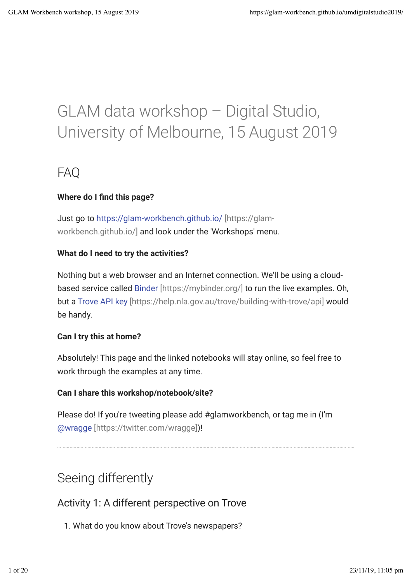# GLAM data workshop – Digital Studio, University of Melbourne, 15 August 2019

## FAQ

### **Where do I find this page?**

Just go to https://glam-workbench.github.io/ [https://glamworkbench.github.io/] and look under the 'Workshops' menu.

### **What do I need to try the activities?**

Nothing but a web browser and an Internet connection. We'll be using a cloudbased service called Binder [https://mybinder.org/] to run the live examples. Oh, but a Trove API key [https://help.nla.gov.au/trove/building-with-trove/api] would be handy.

### **Can I try this at home?**

Absolutely! This page and the linked notebooks will stay online, so feel free to work through the examples at any time.

### **Can I share this workshop/notebook/site?**

Please do! If you're tweeting please add #glamworkbench, or tag me in (I'm @wragge [https://twitter.com/wragge])!

# Seeing differently

Activity 1: A different perspective on Trove

1. What do you know about Trove's newspapers?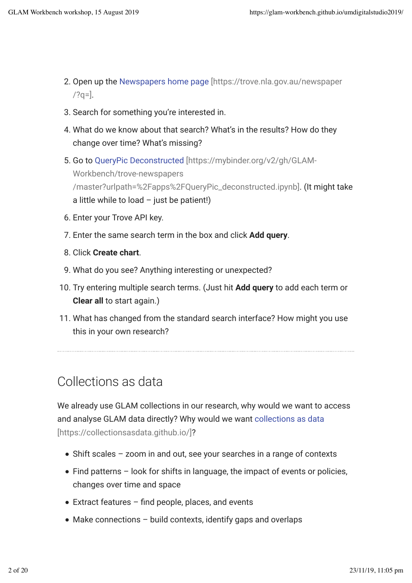- 2. Open up the Newspapers home page [https://trove.nla.gov.au/newspaper  $/?q=$ ].
- 3. Search for something you're interested in.
- 4. What do we know about that search? What's in the results? How do they change over time? What's missing?
- 5. Go to QueryPic Deconstructed [https://mybinder.org/v2/gh/GLAM-Workbench/trove-newspapers /master?urlpath=%2Fapps%2FQueryPic\_deconstructed.ipynb]. (It might take a little while to load  $-$  just be patient!)
- 6. Enter your Trove API key.
- 7. Enter the same search term in the box and click **Add query**.
- 8. Click **Create chart**.
- 9. What do you see? Anything interesting or unexpected?
- 10. Try entering multiple search terms. (Just hit **Add query** to add each term or **Clear all** to start again.)
- 11. What has changed from the standard search interface? How might you use this in your own research?

# Collections as data

We already use GLAM collections in our research, why would we want to access and analyse GLAM data directly? Why would we want collections as data [https://collectionsasdata.github.io/]?

- Shift scales zoom in and out, see your searches in a range of contexts
- Find patterns look for shifts in language, the impact of events or policies, changes over time and space
- $\bullet$  Extract features find people, places, and events
- $\bullet$  Make connections build contexts, identify gaps and overlaps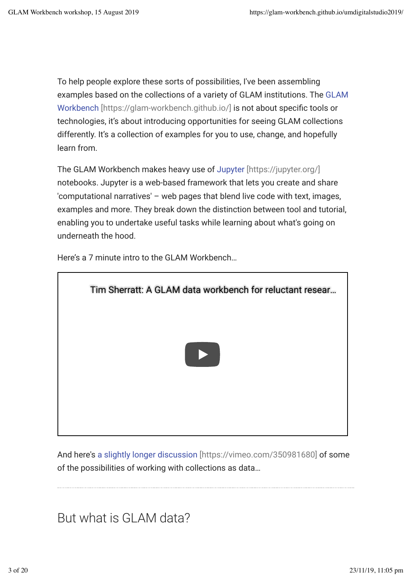To help people explore these sorts of possibilities, I've been assembling examples based on the collections of a variety of GLAM institutions. The GLAM Workbench [https://glam-workbench.github.io/] is not about specific tools or technologies, it's about introducing opportunities for seeing GLAM collections differently. It's a collection of examples for you to use, change, and hopefully learn from.

The GLAM Workbench makes heavy use of Jupyter [https://jupyter.org/] notebooks. Jupyter is a web-based framework that lets you create and share 'computational narratives' – web pages that blend live code with text, images, examples and more. They break down the distinction between tool and tutorial, enabling you to undertake useful tasks while learning about what's going on underneath the hood.

Tim Sherratt: A GLAM data workbench for reluctant resear…

Here's a 7 minute intro to the GLAM Workbench…

And here's a slightly longer discussion [https://vimeo.com/350981680] of some of the possibilities of working with collections as data…

But what is GLAM data?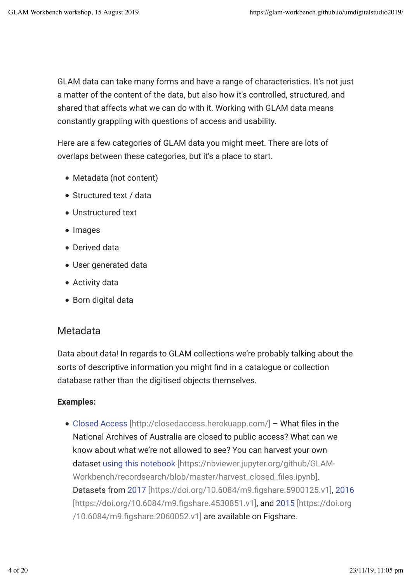GLAM data can take many forms and have a range of characteristics. It's not just a matter of the content of the data, but also how it's controlled, structured, and shared that affects what we can do with it. Working with GLAM data means constantly grappling with questions of access and usability.

Here are a few categories of GLAM data you might meet. There are lots of overlaps between these categories, but it's a place to start.

- Metadata (not content)
- Structured text / data
- Unstructured text
- Images
- Derived data
- User generated data
- Activity data
- Born digital data

## Metadata

Data about data! In regards to GLAM collections we're probably talking about the sorts of descriptive information you might find in a catalogue or collection database rather than the digitised objects themselves.

### **Examples:**

 $\bullet$  Closed Access [http://closedaccess.herokuapp.com/] - What files in the National Archives of Australia are closed to public access? What can we know about what we're not allowed to see? You can harvest your own dataset using this notebook [https://nbviewer.jupyter.org/github/GLAM-Workbench/recordsearch/blob/master/harvest\_closed\_files.ipynb]. Datasets from 2017 [https://doi.org/10.6084/m9.figshare.5900125.v1], 2016 [https://doi.org/10.6084/m9.figshare.4530851.v1], and 2015 [https://doi.org /10.6084/m9.figshare.2060052.v1] are available on Figshare.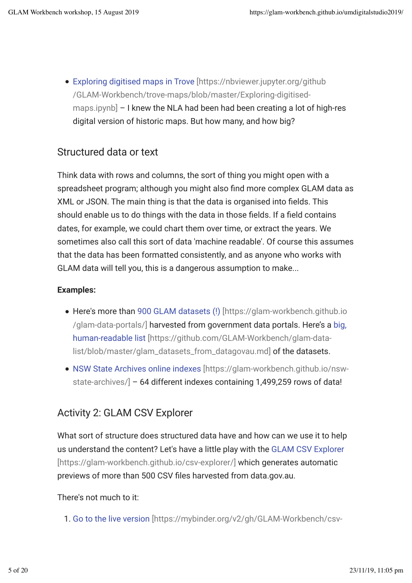Exploring digitised maps in Trove [https://nbviewer.jupyter.org/github /GLAM-Workbench/trove-maps/blob/master/Exploring-digitisedmaps.ipynb] – I knew the NLA had been had been creating a lot of high-res digital version of historic maps. But how many, and how big?

## Structured data or text

Think data with rows and columns, the sort of thing you might open with a spreadsheet program; although you might also find more complex GLAM data as XML or JSON. The main thing is that the data is organised into fields. This should enable us to do things with the data in those fields. If a field contains dates, for example, we could chart them over time, or extract the years. We sometimes also call this sort of data 'machine readable'. Of course this assumes that the data has been formatted consistently, and as anyone who works with GLAM data will tell you, this is a dangerous assumption to make...

### **Examples:**

- Here's more than 900 GLAM datasets (!) [https://glam-workbench.github.io /glam-data-portals/] harvested from government data portals. Here's a big, human-readable list [https://github.com/GLAM-Workbench/glam-datalist/blob/master/glam\_datasets\_from\_datagovau.md] of the datasets.
- NSW State Archives online indexes [https://glam-workbench.github.io/nswstate-archives/] – 64 different indexes containing 1,499,259 rows of data!

## Activity 2: GLAM CSV Explorer

What sort of structure does structured data have and how can we use it to help us understand the content? Let's have a little play with the GLAM CSV Explorer [https://glam-workbench.github.io/csv-explorer/] which generates automatic previews of more than 500 CSV files harvested from data.gov.au.

### There's not much to it:

1. Go to the live version [https://mybinder.org/v2/gh/GLAM-Workbench/csv-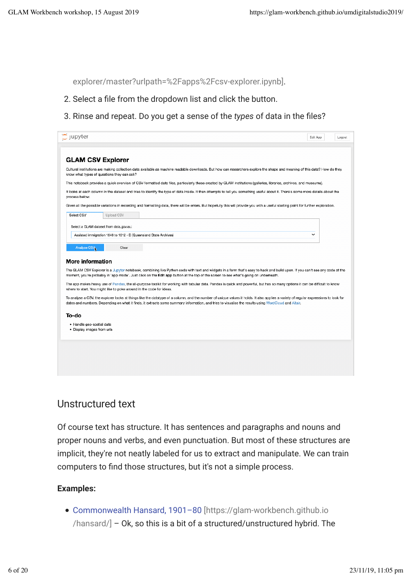explorer/master?urlpath=%2Fapps%2Fcsv-explorer.ipynb].

- 2. Select a file from the dropdown list and click the button.
- 3. Rinse and repeat. Do you get a sense of the *types* of data in the files?

| C Jupyter                                                                                                                                                                                                                                                                                                                                   | Edit App     | Logout |
|---------------------------------------------------------------------------------------------------------------------------------------------------------------------------------------------------------------------------------------------------------------------------------------------------------------------------------------------|--------------|--------|
|                                                                                                                                                                                                                                                                                                                                             |              |        |
|                                                                                                                                                                                                                                                                                                                                             |              |        |
| <b>GLAM CSV Explorer</b>                                                                                                                                                                                                                                                                                                                    |              |        |
| Cultural institutions are making collection data available as machine readable downloads. But how can researchers explore the shape and meaning of this data? How do they<br>know what types of questions they can ask?                                                                                                                     |              |        |
| This notebook provides a quick overview of CSV-formatted data files, particularly those created by GLAM institutions (galleries, libraries, archives, and museums).                                                                                                                                                                         |              |        |
| It looks at each column in the dataset and tries to identify the type of data inside. It then attempts to tell you something useful about it. There's some more details about the<br>process below.                                                                                                                                         |              |        |
| Given all the possible variations in recording and formatting data, there will be errors. But hopefully this will provide you with a useful starting point for further exploration.                                                                                                                                                         |              |        |
| Select CSV<br><b>Upload CSV</b>                                                                                                                                                                                                                                                                                                             |              |        |
| Select a GLAM dataset from data.gov.au:                                                                                                                                                                                                                                                                                                     |              |        |
| Assisted immigration 1848 to 1912 - B (Queensland State Archives)                                                                                                                                                                                                                                                                           | $\checkmark$ |        |
|                                                                                                                                                                                                                                                                                                                                             |              |        |
| Analyse CSV<br>Clear                                                                                                                                                                                                                                                                                                                        |              |        |
| More information                                                                                                                                                                                                                                                                                                                            |              |        |
| The GLAM CSV Explorer is a Jupyter notebook, combining live Python code with text and widgets in a form that's easy to hack and build upon. If you can't see any code at the<br>moment, you're probably in 'app mode'. Just click on the Edit app button at the top of the screen to see what's going on underneath.                        |              |        |
| The app makes heavy use of Pandas, the all-purpose toolkit for working with tabular data. Pandas is quick and powerful, but has so many options it can be difficult to know<br>where to start. You might like to poke around in the code for ideas.                                                                                         |              |        |
| To analyse a CSV, the explorer looks at things like the datatype of a column, and the number of unique values it holds. It also applies a variety of regular expressions to look for<br>dates and numbers. Depending on what it finds, it extracts some summary information, and tries to visualise the results using WordCloud and Altair. |              |        |
| To-do                                                                                                                                                                                                                                                                                                                                       |              |        |
| · Handle geo-spatial data<br>· Display images from urls                                                                                                                                                                                                                                                                                     |              |        |
|                                                                                                                                                                                                                                                                                                                                             |              |        |
|                                                                                                                                                                                                                                                                                                                                             |              |        |
|                                                                                                                                                                                                                                                                                                                                             |              |        |
|                                                                                                                                                                                                                                                                                                                                             |              |        |

## Unstructured text

Of course text has structure. It has sentences and paragraphs and nouns and proper nouns and verbs, and even punctuation. But most of these structures are implicit, they're not neatly labeled for us to extract and manipulate. We can train computers to find those structures, but it's not a simple process.

### **Examples:**

Commonwealth Hansard, 1901–80 [https://glam-workbench.github.io /hansard/] – Ok, so this is a bit of a structured/unstructured hybrid. The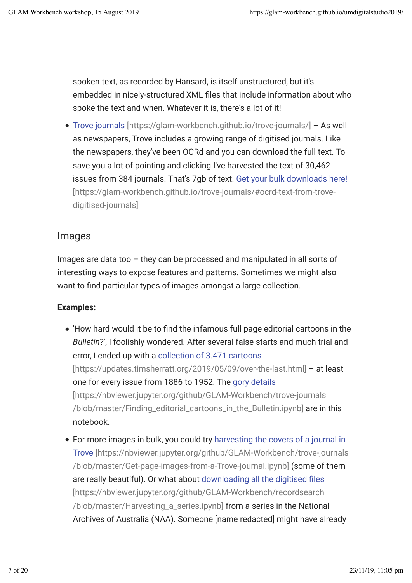spoken text, as recorded by Hansard, is itself unstructured, but it's embedded in nicely-structured XML files that include information about who spoke the text and when. Whatever it is, there's a lot of it!

Trove journals [https://glam-workbench.github.io/trove-journals/] – As well as newspapers, Trove includes a growing range of digitised journals. Like the newspapers, they've been OCRd and you can download the full text. To save you a lot of pointing and clicking I've harvested the text of 30,462 issues from 384 journals. That's 7gb of text. Get your bulk downloads here! [https://glam-workbench.github.io/trove-journals/#ocrd-text-from-trovedigitised-journals]

## Images

Images are data too – they can be processed and manipulated in all sorts of interesting ways to expose features and patterns. Sometimes we might also want to find particular types of images amongst a large collection.

### **Examples:**

- 'How hard would it be to find the infamous full page editorial cartoons in the *Bulletin*?', I foolishly wondered. After several false starts and much trial and error, I ended up with a collection of 3.471 cartoons [https://updates.timsherratt.org/2019/05/09/over-the-last.html] – at least one for every issue from 1886 to 1952. The gory details [https://nbviewer.jupyter.org/github/GLAM-Workbench/trove-journals /blob/master/Finding\_editorial\_cartoons\_in\_the\_Bulletin.ipynb] are in this notebook.
- For more images in bulk, you could try harvesting the covers of a journal in Trove [https://nbviewer.jupyter.org/github/GLAM-Workbench/trove-journals /blob/master/Get-page-images-from-a-Trove-journal.ipynb] (some of them are really beautiful). Or what about downloading all the digitised files [https://nbviewer.jupyter.org/github/GLAM-Workbench/recordsearch /blob/master/Harvesting\_a\_series.ipynb] from a series in the National Archives of Australia (NAA). Someone [name redacted] might have already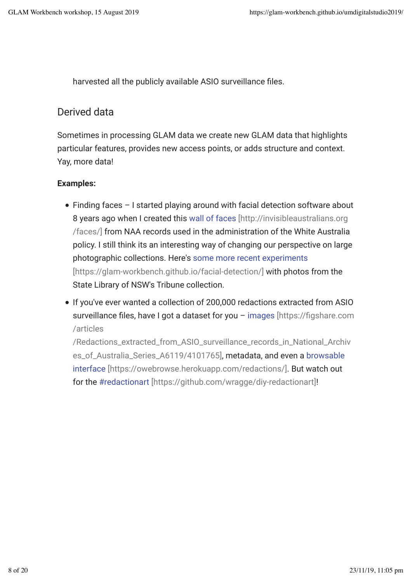harvested all the publicly available ASIO surveillance files.

### Derived data

Sometimes in processing GLAM data we create new GLAM data that highlights particular features, provides new access points, or adds structure and context. Yay, more data!

### **Examples:**

- Finding faces I started playing around with facial detection software about 8 years ago when I created this wall of faces [http://invisibleaustralians.org /faces/] from NAA records used in the administration of the White Australia policy. I still think its an interesting way of changing our perspective on large photographic collections. Here's some more recent experiments [https://glam-workbench.github.io/facial-detection/] with photos from the State Library of NSW's Tribune collection.
- If you've ever wanted a collection of 200,000 redactions extracted from ASIO surveillance files, have I got a dataset for you - images [https://figshare.com /articles

/Redactions\_extracted\_from\_ASIO\_surveillance\_records\_in\_National\_Archiv es\_of\_Australia\_Series\_A6119/4101765], metadata, and even a browsable interface [https://owebrowse.herokuapp.com/redactions/]. But watch out for the #redactionart [https://github.com/wragge/diy-redactionart]!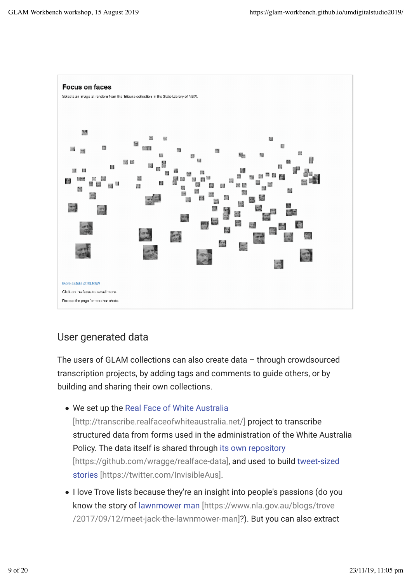

## User generated data

The users of GLAM collections can also create data – through crowdsourced transcription projects, by adding tags and comments to guide others, or by building and sharing their own collections.

We set up the Real Face of White Australia

[http://transcribe.realfaceofwhiteaustralia.net/] project to transcribe structured data from forms used in the administration of the White Australia Policy. The data itself is shared through its own repository [https://github.com/wragge/realface-data], and used to build tweet-sized stories [https://twitter.com/InvisibleAus].

• I love Trove lists because they're an insight into people's passions (do you know the story of lawnmower man [https://www.nla.gov.au/blogs/trove /2017/09/12/meet-jack-the-lawnmower-man]?). But you can also extract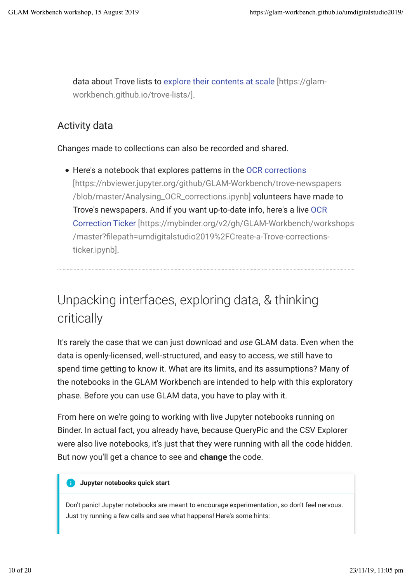data about Trove lists to explore their contents at scale [https://glamworkbench.github.io/trove-lists/].

## Activity data

Changes made to collections can also be recorded and shared.

Here's a notebook that explores patterns in the OCR corrections [https://nbviewer.jupyter.org/github/GLAM-Workbench/trove-newspapers /blob/master/Analysing\_OCR\_corrections.ipynb] volunteers have made to Trove's newspapers. And if you want up-to-date info, here's a live OCR Correction Ticker [https://mybinder.org/v2/gh/GLAM-Workbench/workshops /master?filepath=umdigitalstudio2019%2FCreate-a-Trove-correctionsticker.ipynb].

# Unpacking interfaces, exploring data, & thinking critically

It's rarely the case that we can just download and *use* GLAM data. Even when the data is openly-licensed, well-structured, and easy to access, we still have to spend time getting to know it. What are its limits, and its assumptions? Many of the notebooks in the GLAM Workbench are intended to help with this exploratory phase. Before you can use GLAM data, you have to play with it.

From here on we're going to working with live Jupyter notebooks running on Binder. In actual fact, you already have, because QueryPic and the CSV Explorer were also live notebooks, it's just that they were running with all the code hidden. But now you'll get a chance to see and **change** the code.

#### **Jupyter notebooks quick start**  $\bullet$

Don't panic! Jupyter notebooks are meant to encourage experimentation, so don't feel nervous. Just try running a few cells and see what happens! Here's some hints: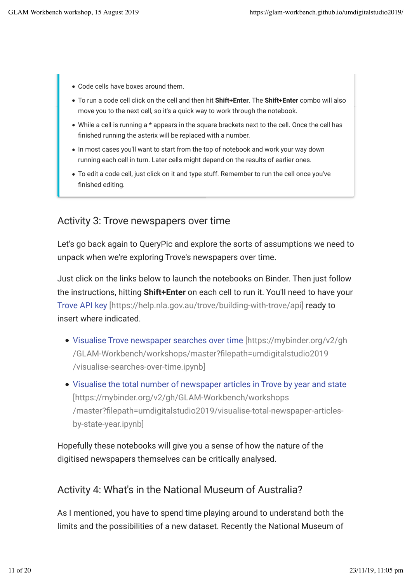- Code cells have boxes around them.
- To run a code cell click on the cell and then hit **Shift+Enter**. The **Shift+Enter** combo will also move you to the next cell, so it's a quick way to work through the notebook.
- While a cell is running a \* appears in the square brackets next to the cell. Once the cell has finished running the asterix will be replaced with a number.
- In most cases you'll want to start from the top of notebook and work your way down running each cell in turn. Later cells might depend on the results of earlier ones.
- To edit a code cell, just click on it and type stuff. Remember to run the cell once you've finished editing.

## Activity 3: Trove newspapers over time

Let's go back again to QueryPic and explore the sorts of assumptions we need to unpack when we're exploring Trove's newspapers over time.

Just click on the links below to launch the notebooks on Binder. Then just follow the instructions, hitting **Shift+Enter** on each cell to run it. You'll need to have your Trove API key [https://help.nla.gov.au/trove/building-with-trove/api] ready to insert where indicated.

- Visualise Trove newspaper searches over time [https://mybinder.org/v2/gh /GLAM-Workbench/workshops/master?llepath=umdigitalstudio2019 /visualise-searches-over-time.ipynb]
- Visualise the total number of newspaper articles in Trove by year and state [https://mybinder.org/v2/gh/GLAM-Workbench/workshops /master?filepath=umdigitalstudio2019/visualise-total-newspaper-articlesby-state-year.ipynb]

Hopefully these notebooks will give you a sense of how the nature of the digitised newspapers themselves can be critically analysed.

## Activity 4: What's in the National Museum of Australia?

As I mentioned, you have to spend time playing around to understand both the limits and the possibilities of a new dataset. Recently the National Museum of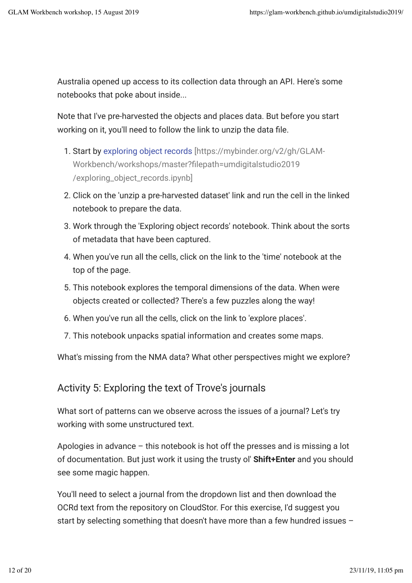Australia opened up access to its collection data through an API. Here's some notebooks that poke about inside...

Note that I've pre-harvested the objects and places data. But before you start working on it, you'll need to follow the link to unzip the data file.

- 1. Start by exploring object records [https://mybinder.org/v2/gh/GLAM-Workbench/workshops/master?filepath=umdigitalstudio2019 /exploring\_object\_records.ipynb]
- 2. Click on the 'unzip a pre-harvested dataset' link and run the cell in the linked notebook to prepare the data.
- 3. Work through the 'Exploring object records' notebook. Think about the sorts of metadata that have been captured.
- 4. When you've run all the cells, click on the link to the 'time' notebook at the top of the page.
- 5. This notebook explores the temporal dimensions of the data. When were objects created or collected? There's a few puzzles along the way!
- 6. When you've run all the cells, click on the link to 'explore places'.
- 7. This notebook unpacks spatial information and creates some maps.

What's missing from the NMA data? What other perspectives might we explore?

## Activity 5: Exploring the text of Trove's journals

What sort of patterns can we observe across the issues of a journal? Let's try working with some unstructured text.

Apologies in advance – this notebook is hot off the presses and is missing a lot of documentation. But just work it using the trusty ol' **Shift+Enter** and you should see some magic happen.

You'll need to select a journal from the dropdown list and then download the OCRd text from the repository on CloudStor. For this exercise, I'd suggest you start by selecting something that doesn't have more than a few hundred issues –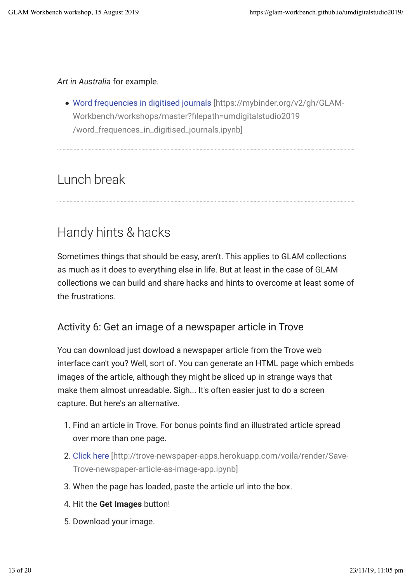## *Art in Australia* for example.

Word frequencies in digitised journals [https://mybinder.org/v2/gh/GLAM-Workbench/workshops/master?filepath=umdigitalstudio2019 /word\_frequences\_in\_digitised\_journals.ipynb]

# Lunch break

# Handy hints & hacks

Sometimes things that should be easy, aren't. This applies to GLAM collections as much as it does to everything else in life. But at least in the case of GLAM collections we can build and share hacks and hints to overcome at least some of the frustrations.

## Activity 6: Get an image of a newspaper article in Trove

You can download just dowload a newspaper article from the Trove web interface can't you? Well, sort of. You can generate an HTML page which embeds images of the article, although they might be sliced up in strange ways that make them almost unreadable. Sigh... It's often easier just to do a screen capture. But here's an alternative.

- 1. Find an article in Trove. For bonus points find an illustrated article spread over more than one page.
- 2. Click here [http://trove-newspaper-apps.herokuapp.com/voila/render/Save-Trove-newspaper-article-as-image-app.ipynb]
- 3. When the page has loaded, paste the article url into the box.
- 4. Hit the **Get Images** button!
- 5. Download your image.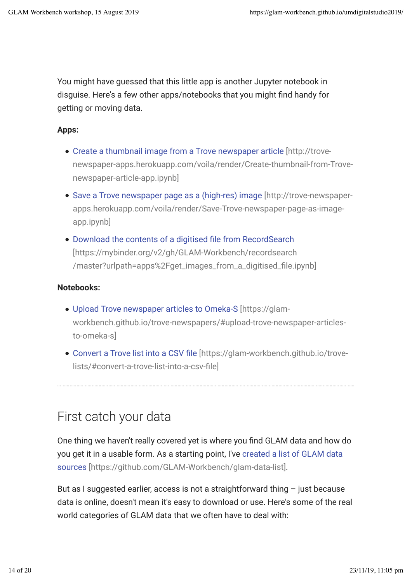You might have guessed that this little app is another Jupyter notebook in disguise. Here's a few other apps/notebooks that you might find handy for getting or moving data.

### **Apps:**

- Create a thumbnail image from a Trove newspaper article [http://trovenewspaper-apps.herokuapp.com/voila/render/Create-thumbnail-from-Trovenewspaper-article-app.ipynb]
- Save a Trove newspaper page as a (high-res) image [http://trove-newspaperapps.herokuapp.com/voila/render/Save-Trove-newspaper-page-as-imageapp.ipynb]
- Download the contents of a digitised file from RecordSearch [https://mybinder.org/v2/gh/GLAM-Workbench/recordsearch /master?urlpath=apps%2Fget\_images\_from\_a\_digitised\_file.ipynb]

### **Notebooks:**

- Upload Trove newspaper articles to Omeka-S [https://glamworkbench.github.io/trove-newspapers/#upload-trove-newspaper-articlesto-omeka-s]
- Convert a Trove list into a CSV file [https://glam-workbench.github.io/trovelists/#convert-a-trove-list-into-a-csv-file]

# First catch your data

One thing we haven't really covered yet is where you find GLAM data and how do you get it in a usable form. As a starting point, I've created a list of GLAM data sources [https://github.com/GLAM-Workbench/glam-data-list].

But as I suggested earlier, access is not a straightforward thing  $-$  just because data is online, doesn't mean it's easy to download or use. Here's some of the real world categories of GLAM data that we often have to deal with: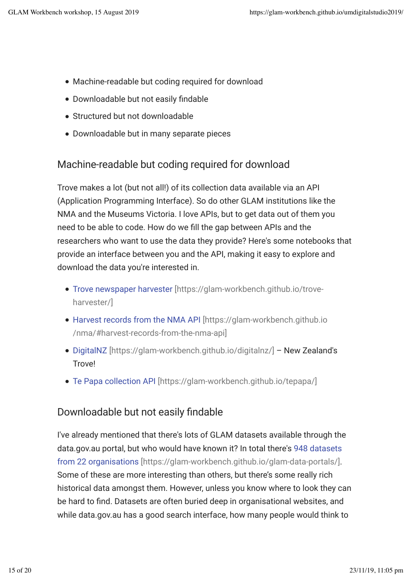- Machine-readable but coding required for download
- Downloadable but not easily findable
- Structured but not downloadable
- Downloadable but in many separate pieces

## Machine-readable but coding required for download

Trove makes a lot (but not all!) of its collection data available via an API (Application Programming Interface). So do other GLAM institutions like the NMA and the Museums Victoria. I love APIs, but to get data out of them you need to be able to code. How do we fill the gap between APIs and the researchers who want to use the data they provide? Here's some notebooks that provide an interface between you and the API, making it easy to explore and download the data you're interested in.

- Trove newspaper harvester [https://glam-workbench.github.io/troveharvester/]
- Harvest records from the NMA API [https://glam-workbench.github.io /nma/#harvest-records-from-the-nma-api]
- DigitalNZ [https://glam-workbench.github.io/digitalnz/] New Zealand's **Trove!**
- Te Papa collection API [https://glam-workbench.github.io/tepapa/]

## Downloadable but not easily findable

I've already mentioned that there's lots of GLAM datasets available through the data.gov.au portal, but who would have known it? In total there's 948 datasets from 22 organisations [https://glam-workbench.github.io/glam-data-portals/]. Some of these are more interesting than others, but there's some really rich historical data amongst them. However, unless you know where to look they can be hard to find. Datasets are often buried deep in organisational websites, and while data.gov.au has a good search interface, how many people would think to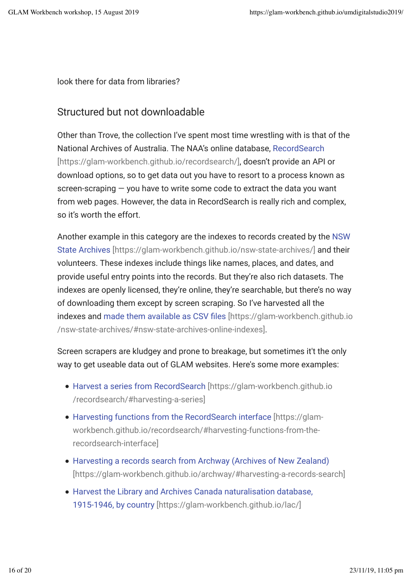look there for data from libraries?

## Structured but not downloadable

Other than Trove, the collection I've spent most time wrestling with is that of the National Archives of Australia. The NAA's online database, RecordSearch [https://glam-workbench.github.io/recordsearch/], doesn't provide an API or download options, so to get data out you have to resort to a process known as screen-scraping — you have to write some code to extract the data you want from web pages. However, the data in RecordSearch is really rich and complex, so it's worth the effort.

Another example in this category are the indexes to records created by the NSW State Archives [https://glam-workbench.github.io/nsw-state-archives/] and their volunteers. These indexes include things like names, places, and dates, and provide useful entry points into the records. But they're also rich datasets. The indexes are openly licensed, they're online, they're searchable, but there's no way of downloading them except by screen scraping. So I've harvested all the indexes and made them available as CSV files [https://glam-workbench.github.io] /nsw-state-archives/#nsw-state-archives-online-indexes].

Screen scrapers are kludgey and prone to breakage, but sometimes it't the only way to get useable data out of GLAM websites. Here's some more examples:

- Harvest a series from RecordSearch [https://glam-workbench.github.io /recordsearch/#harvesting-a-series]
- Harvesting functions from the RecordSearch interface [https://glamworkbench.github.io/recordsearch/#harvesting-functions-from-therecordsearch-interface]
- Harvesting a records search from Archway (Archives of New Zealand) [https://glam-workbench.github.io/archway/#harvesting-a-records-search]
- Harvest the Library and Archives Canada naturalisation database, 1915-1946, by country [https://glam-workbench.github.io/lac/]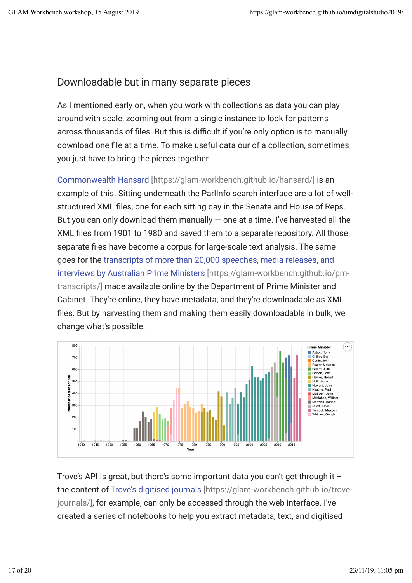## Downloadable but in many separate pieces

As I mentioned early on, when you work with collections as data you can play around with scale, zooming out from a single instance to look for patterns across thousands of files. But this is difficult if you're only option is to manually download one file at a time. To make useful data our of a collection, sometimes you just have to bring the pieces together.

Commonwealth Hansard [https://glam-workbench.github.io/hansard/] is an example of this. Sitting underneath the ParlInfo search interface are a lot of wellstructured XML files, one for each sitting day in the Senate and House of Reps. But you can only download them manually  $-$  one at a time. I've harvested all the XML files from 1901 to 1980 and saved them to a separate repository. All those separate files have become a corpus for large-scale text analysis. The same goes for the transcripts of more than 20,000 speeches, media releases, and interviews by Australian Prime Ministers [https://glam-workbench.github.io/pmtranscripts/] made available online by the Department of Prime Minister and Cabinet. They're online, they have metadata, and they're downloadable as XML files. But by harvesting them and making them easily downloadable in bulk, we change what's possible.



Trove's API is great, but there's some important data you can't get through it – the content of Trove's digitised journals [https://glam-workbench.github.io/trovejournals/], for example, can only be accessed through the web interface. I've created a series of notebooks to help you extract metadata, text, and digitised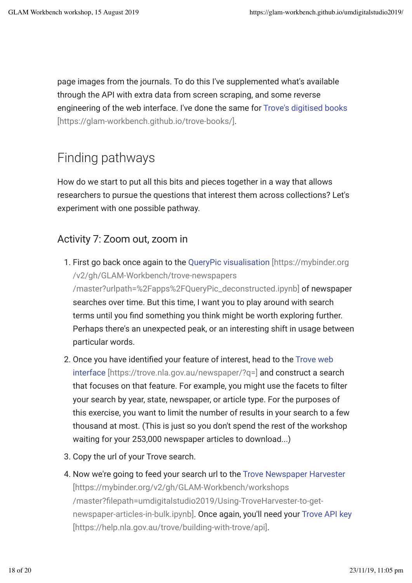page images from the journals. To do this I've supplemented what's available through the API with extra data from screen scraping, and some reverse engineering of the web interface. I've done the same for Trove's digitised books [https://glam-workbench.github.io/trove-books/].

# Finding pathways

How do we start to put all this bits and pieces together in a way that allows researchers to pursue the questions that interest them across collections? Let's experiment with one possible pathway.

## Activity 7: Zoom out, zoom in

- 1. First go back once again to the QueryPic visualisation [https://mybinder.org /v2/gh/GLAM-Workbench/trove-newspapers /master?urlpath=%2Fapps%2FQueryPic\_deconstructed.ipynb] of newspaper searches over time. But this time, I want you to play around with search terms until you find something you think might be worth exploring further. Perhaps there's an unexpected peak, or an interesting shift in usage between particular words.
- 2. Once you have identified your feature of interest, head to the Trove web interface [https://trove.nla.gov.au/newspaper/?q=] and construct a search that focuses on that feature. For example, you might use the facets to filter your search by year, state, newspaper, or article type. For the purposes of this exercise, you want to limit the number of results in your search to a few thousand at most. (This is just so you don't spend the rest of the workshop waiting for your 253,000 newspaper articles to download...)
- 3. Copy the url of your Trove search.
- 4. Now we're going to feed your search url to the Trove Newspaper Harvester [https://mybinder.org/v2/gh/GLAM-Workbench/workshops /master?filepath=umdigitalstudio2019/Using-TroveHarvester-to-getnewspaper-articles-in-bulk.ipynb]. Once again, you'll need your Trove API key [https://help.nla.gov.au/trove/building-with-trove/api].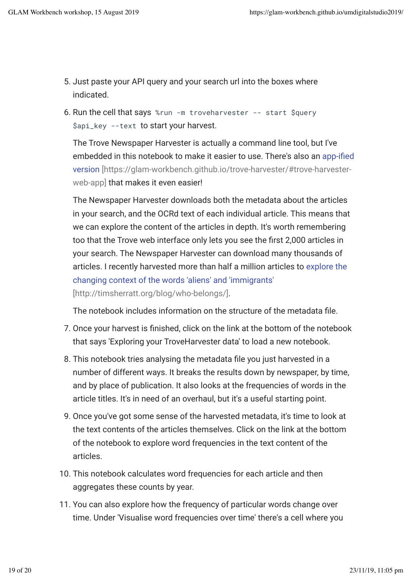- 5. Just paste your API query and your search url into the boxes where indicated.
- 6. Run the cell that says %run -m troveharvester -- start \$query \$api\_key --text to start your harvest.

The Trove Newspaper Harvester is actually a command line tool, but I've embedded in this notebook to make it easier to use. There's also an app-ified version [https://glam-workbench.github.io/trove-harvester/#trove-harvesterweb-app] that makes it even easier!

The Newspaper Harvester downloads both the metadata about the articles in your search, and the OCRd text of each individual article. This means that we can explore the content of the articles in depth. It's worth remembering too that the Trove web interface only lets you see the first 2,000 articles in your search. The Newspaper Harvester can download many thousands of articles. I recently harvested more than half a million articles to explore the changing context of the words 'aliens' and 'immigrants' [http://timsherratt.org/blog/who-belongs/].

The notebook includes information on the structure of the metadata file.

- 7. Once your harvest is finished, click on the link at the bottom of the notebook that says 'Exploring your TroveHarvester data' to load a new notebook.
- 8. This notebook tries analysing the metadata file you just harvested in a number of different ways. It breaks the results down by newspaper, by time, and by place of publication. It also looks at the frequencies of words in the article titles. It's in need of an overhaul, but it's a useful starting point.
- 9. Once you've got some sense of the harvested metadata, it's time to look at the text contents of the articles themselves. Click on the link at the bottom of the notebook to explore word frequencies in the text content of the articles.
- 10. This notebook calculates word frequencies for each article and then aggregates these counts by year.
- 11. You can also explore how the frequency of particular words change over time. Under 'Visualise word frequencies over time' there's a cell where you